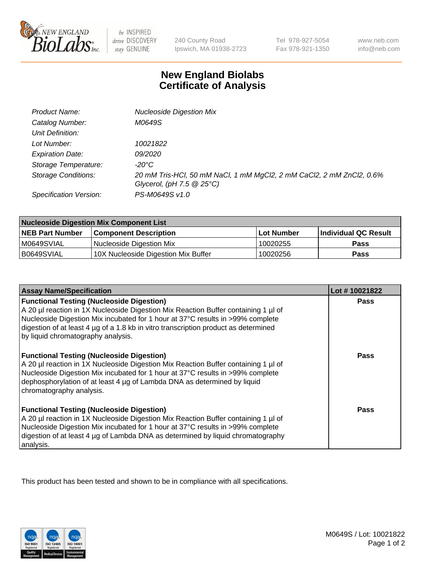

be INSPIRED drive DISCOVERY stay GENUINE

240 County Road Ipswich, MA 01938-2723

Tel 978-927-5054 Fax 978-921-1350

www.neb.com info@neb.com

## **New England Biolabs Certificate of Analysis**

| Product Name:              | <b>Nucleoside Digestion Mix</b>                                      |
|----------------------------|----------------------------------------------------------------------|
| Catalog Number:            | M0649S                                                               |
| Unit Definition:           |                                                                      |
| Lot Number:                | 10021822                                                             |
| <b>Expiration Date:</b>    | <i>09/2020</i>                                                       |
| Storage Temperature:       | -20°C                                                                |
| <b>Storage Conditions:</b> | 20 mM Tris-HCl, 50 mM NaCl, 1 mM MgCl2, 2 mM CaCl2, 2 mM ZnCl2, 0.6% |
|                            | Glycerol, (pH $7.5 \ @ 25^{\circ}C$ )                                |
| Specification Version:     | PS-M0649S v1.0                                                       |

| <b>Nucleoside Digestion Mix Component List</b> |                                     |            |                      |  |
|------------------------------------------------|-------------------------------------|------------|----------------------|--|
| <b>NEB Part Number</b>                         | <b>Component Description</b>        | Lot Number | Individual QC Result |  |
| M0649SVIAL                                     | Nucleoside Digestion Mix            | 10020255   | <b>Pass</b>          |  |
| B0649SVIAL                                     | 10X Nucleoside Digestion Mix Buffer | 10020256   | Pass                 |  |

| <b>Assay Name/Specification</b>                                                                                                                                                                                                                                                                                                                       | Lot #10021822 |
|-------------------------------------------------------------------------------------------------------------------------------------------------------------------------------------------------------------------------------------------------------------------------------------------------------------------------------------------------------|---------------|
| <b>Functional Testing (Nucleoside Digestion)</b><br>A 20 µl reaction in 1X Nucleoside Digestion Mix Reaction Buffer containing 1 µl of<br>Nucleoside Digestion Mix incubated for 1 hour at 37°C results in >99% complete<br>digestion of at least 4 µg of a 1.8 kb in vitro transcription product as determined<br>by liquid chromatography analysis. | <b>Pass</b>   |
| <b>Functional Testing (Nucleoside Digestion)</b><br>A 20 µl reaction in 1X Nucleoside Digestion Mix Reaction Buffer containing 1 µl of<br>Nucleoside Digestion Mix incubated for 1 hour at 37°C results in >99% complete<br>dephosphorylation of at least 4 µg of Lambda DNA as determined by liquid<br>chromatography analysis.                      | <b>Pass</b>   |
| <b>Functional Testing (Nucleoside Digestion)</b><br>A 20 µl reaction in 1X Nucleoside Digestion Mix Reaction Buffer containing 1 µl of<br>Nucleoside Digestion Mix incubated for 1 hour at 37°C results in >99% complete<br>digestion of at least 4 µg of Lambda DNA as determined by liquid chromatography<br>analysis.                              | <b>Pass</b>   |

This product has been tested and shown to be in compliance with all specifications.